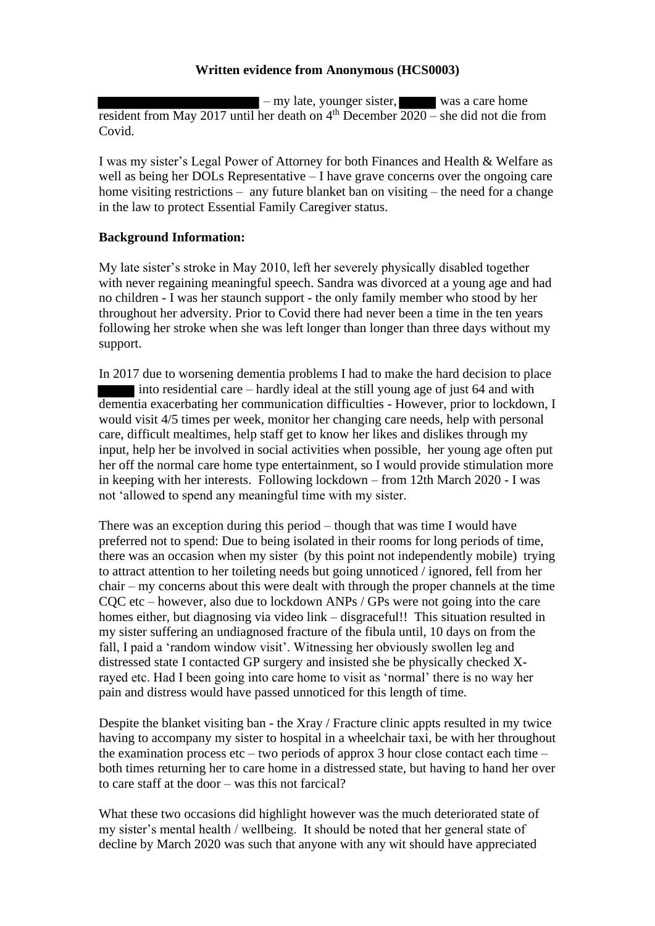## **Written evidence from Anonymous (HCS0003)**

 $-$  my late, younger sister, was a care home resident from May 2017 until her death on  $4<sup>th</sup>$  December  $2020$  – she did not die from Covid.

I was my sister's Legal Power of Attorney for both Finances and Health & Welfare as well as being her DOLs Representative – I have grave concerns over the ongoing care home visiting restrictions – any future blanket ban on visiting – the need for a change in the law to protect Essential Family Caregiver status.

## **Background Information:**

My late sister's stroke in May 2010, left her severely physically disabled together with never regaining meaningful speech. Sandra was divorced at a young age and had no children - I was her staunch support - the only family member who stood by her throughout her adversity. Prior to Covid there had never been a time in the ten years following her stroke when she was left longer than longer than three days without my support.

In 2017 due to worsening dementia problems I had to make the hard decision to place into residential care – hardly ideal at the still young age of just 64 and with dementia exacerbating her communication difficulties - However, prior to lockdown, I would visit 4/5 times per week, monitor her changing care needs, help with personal care, difficult mealtimes, help staff get to know her likes and dislikes through my input, help her be involved in social activities when possible, her young age often put her off the normal care home type entertainment, so I would provide stimulation more in keeping with her interests. Following lockdown – from 12th March 2020 - I was not 'allowed to spend any meaningful time with my sister.

There was an exception during this period – though that was time I would have preferred not to spend: Due to being isolated in their rooms for long periods of time, there was an occasion when my sister (by this point not independently mobile) trying to attract attention to her toileting needs but going unnoticed / ignored, fell from her chair – my concerns about this were dealt with through the proper channels at the time CQC etc – however, also due to lockdown ANPs / GPs were not going into the care homes either, but diagnosing via video link – disgraceful!! This situation resulted in my sister suffering an undiagnosed fracture of the fibula until, 10 days on from the fall, I paid a 'random window visit'. Witnessing her obviously swollen leg and distressed state I contacted GP surgery and insisted she be physically checked Xrayed etc. Had I been going into care home to visit as 'normal' there is no way her pain and distress would have passed unnoticed for this length of time.

Despite the blanket visiting ban - the Xray / Fracture clinic appts resulted in my twice having to accompany my sister to hospital in a wheelchair taxi, be with her throughout the examination process etc – two periods of approx  $3$  hour close contact each time – both times returning her to care home in a distressed state, but having to hand her over to care staff at the door – was this not farcical?

What these two occasions did highlight however was the much deteriorated state of my sister's mental health / wellbeing. It should be noted that her general state of decline by March 2020 was such that anyone with any wit should have appreciated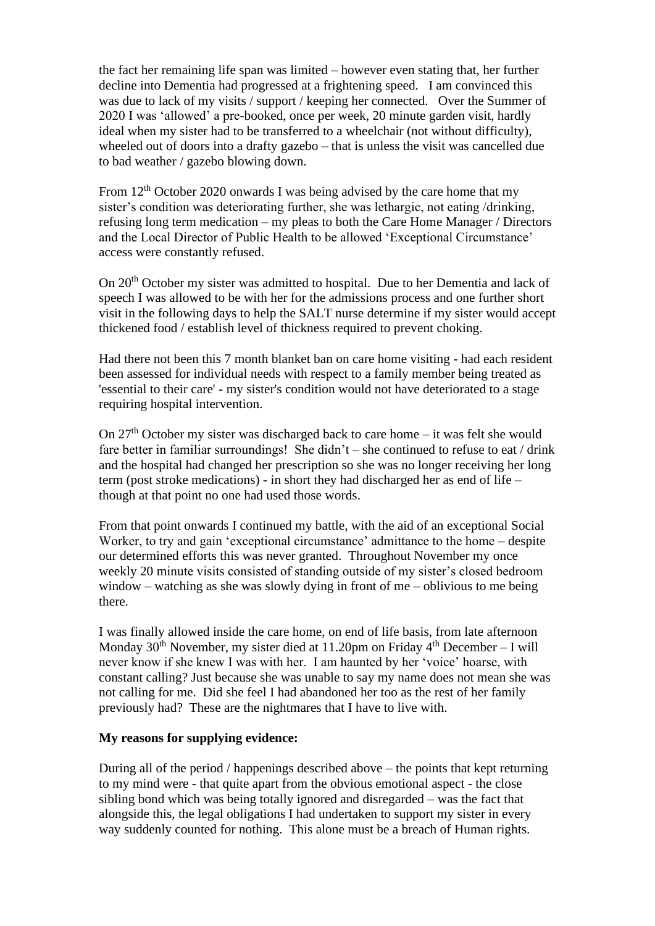the fact her remaining life span was limited – however even stating that, her further decline into Dementia had progressed at a frightening speed. I am convinced this was due to lack of my visits / support / keeping her connected. Over the Summer of 2020 I was 'allowed' a pre-booked, once per week, 20 minute garden visit, hardly ideal when my sister had to be transferred to a wheelchair (not without difficulty), wheeled out of doors into a drafty gazebo – that is unless the visit was cancelled due to bad weather / gazebo blowing down.

From 12<sup>th</sup> October 2020 onwards I was being advised by the care home that my sister's condition was deteriorating further, she was lethargic, not eating /drinking, refusing long term medication – my pleas to both the Care Home Manager / Directors and the Local Director of Public Health to be allowed 'Exceptional Circumstance' access were constantly refused.

On 20th October my sister was admitted to hospital. Due to her Dementia and lack of speech I was allowed to be with her for the admissions process and one further short visit in the following days to help the SALT nurse determine if my sister would accept thickened food / establish level of thickness required to prevent choking.

Had there not been this 7 month blanket ban on care home visiting - had each resident been assessed for individual needs with respect to a family member being treated as 'essential to their care' - my sister's condition would not have deteriorated to a stage requiring hospital intervention.

On  $27<sup>th</sup>$  October my sister was discharged back to care home – it was felt she would fare better in familiar surroundings! She didn't – she continued to refuse to eat / drink and the hospital had changed her prescription so she was no longer receiving her long term (post stroke medications) - in short they had discharged her as end of life – though at that point no one had used those words.

From that point onwards I continued my battle, with the aid of an exceptional Social Worker, to try and gain 'exceptional circumstance' admittance to the home – despite our determined efforts this was never granted. Throughout November my once weekly 20 minute visits consisted of standing outside of my sister's closed bedroom window – watching as she was slowly dying in front of me – oblivious to me being there.

I was finally allowed inside the care home, on end of life basis, from late afternoon Monday  $30<sup>th</sup>$  November, my sister died at 11.20pm on Friday  $4<sup>th</sup>$  December – I will never know if she knew I was with her. I am haunted by her 'voice' hoarse, with constant calling? Just because she was unable to say my name does not mean she was not calling for me. Did she feel I had abandoned her too as the rest of her family previously had? These are the nightmares that I have to live with.

## **My reasons for supplying evidence:**

During all of the period / happenings described above – the points that kept returning to my mind were - that quite apart from the obvious emotional aspect - the close sibling bond which was being totally ignored and disregarded – was the fact that alongside this, the legal obligations I had undertaken to support my sister in every way suddenly counted for nothing. This alone must be a breach of Human rights.